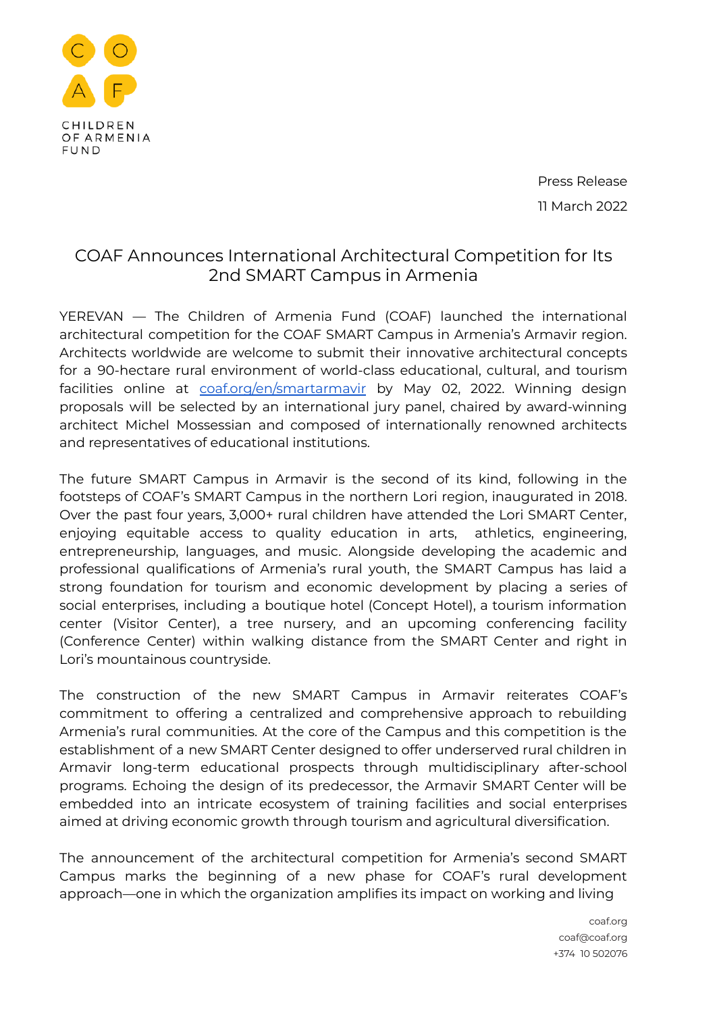

Press Release 11 March 2022

## COAF Announces International Architectural Competition for Its 2nd SMART Campus in Armenia

YEREVAN — The Children of Armenia Fund (COAF) launched the international architectural competition for the COAF SMART Campus in Armenia's Armavir region. Architects worldwide are welcome to submit their innovative architectural concepts for a 90-hectare rural environment of world-class educational, cultural, and tourism facilities online at [coaf.org/en/smartarmavir](http://www.coaf.org/en/smartarmavir/) by May 02, 2022. Winning design proposals will be selected by an international jury panel, chaired by award-winning architect Michel Mossessian and composed of internationally renowned architects and representatives of educational institutions.

The future SMART Campus in Armavir is the second of its kind, following in the footsteps of COAF's SMART Campus in the northern Lori region, inaugurated in 2018. Over the past four years, 3,000+ rural children have attended the Lori SMART Center, enjoying equitable access to quality education in arts, athletics, engineering, entrepreneurship, languages, and music. Alongside developing the academic and professional qualifications of Armenia's rural youth, the SMART Campus has laid a strong foundation for tourism and economic development by placing a series of social enterprises, including a boutique hotel (Concept Hotel), a tourism information center (Visitor Center), a tree nursery, and an upcoming conferencing facility (Conference Center) within walking distance from the SMART Center and right in Lori's mountainous countryside.

The construction of the new SMART Campus in Armavir reiterates COAF's commitment to offering a centralized and comprehensive approach to rebuilding Armenia's rural communities. At the core of the Campus and this competition is the establishment of a new SMART Center designed to offer underserved rural children in Armavir long-term educational prospects through multidisciplinary after-school programs. Echoing the design of its predecessor, the Armavir SMART Center will be embedded into an intricate ecosystem of training facilities and social enterprises aimed at driving economic growth through tourism and agricultural diversification.

The announcement of the architectural competition for Armenia's second SMART Campus marks the beginning of a new phase for COAF's rural development approach—one in which the organization amplifies its impact on working and living